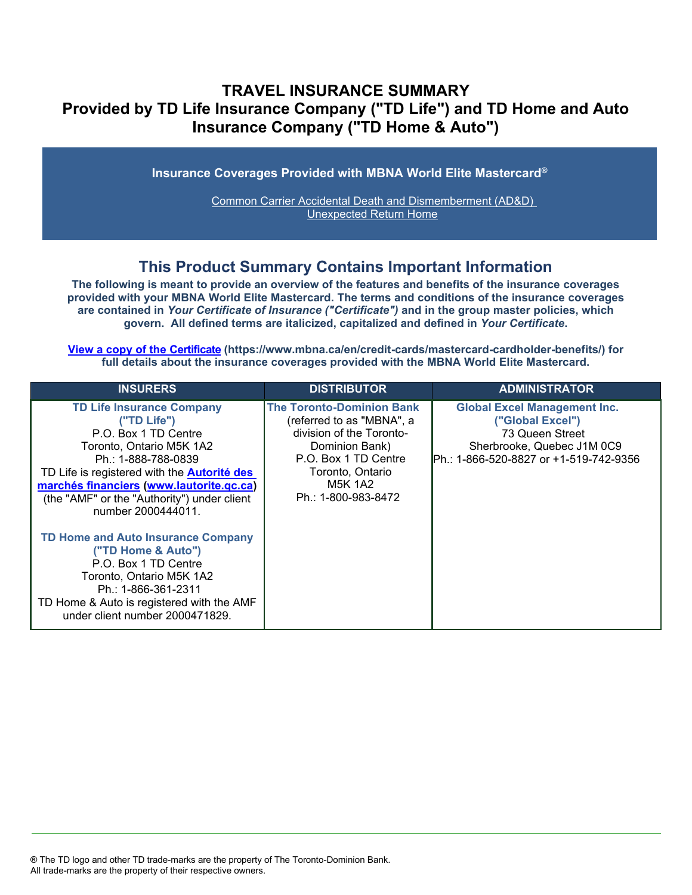# **TRAVEL INSURANCE SUMMARY Provided by TD Life Insurance Company ("TD Life") and TD Home and Auto Insurance Company ("TD Home & Auto")**

**Insurance Coverages Provided with MBNA World Elite Mastercard®**

[Common Carrier Accidental Death and Dismemberment \(AD&D\)](#page-4-0)  Unexpected Return Home

# **This Product Summary Contains Important Information**

**The following is meant to provide an overview of the features and benefits of the insurance coverages provided with your MBNA World Elite Mastercard. The terms and conditions of the insurance coverages are contained in** *Your Certificate of Insurance ("Certificate")* **and in the group master policies, which govern. All defined terms are italicized, capitalized and defined in** *Your Certificate***.**

**[View a copy of the Certificate](https://www.mbna.ca/en/credit-cards/mastercard-cardholder-benefits/) (https://www.mbna.ca/en/credit-cards/mastercard-cardholder-benefits/) for full details about the insurance coverages provided with the MBNA World Elite Mastercard.**

| <b>INSURERS</b>                                                                                                                                                                                                                                                                                   | <b>DISTRIBUTOR</b>                                                                                                                                                                               | <b>ADMINISTRATOR</b>                                                                                                                                |
|---------------------------------------------------------------------------------------------------------------------------------------------------------------------------------------------------------------------------------------------------------------------------------------------------|--------------------------------------------------------------------------------------------------------------------------------------------------------------------------------------------------|-----------------------------------------------------------------------------------------------------------------------------------------------------|
| <b>TD Life Insurance Company</b><br>("TD Life")<br>P.O. Box 1 TD Centre<br>Toronto, Ontario M5K 1A2<br>Ph.: 1-888-788-0839<br>TD Life is registered with the <b>Autorité des</b><br>marchés financiers (www.lautorite.qc.ca)<br>(the "AMF" or the "Authority") under client<br>number 2000444011. | <b>The Toronto-Dominion Bank</b><br>(referred to as "MBNA", a<br>division of the Toronto-<br>Dominion Bank)<br>P.O. Box 1 TD Centre<br>Toronto, Ontario<br><b>M5K 1A2</b><br>Ph.: 1-800-983-8472 | <b>Global Excel Management Inc.</b><br>("Global Excel")<br>73 Queen Street<br>Sherbrooke, Quebec J1M 0C9<br>IPh.: 1-866-520-8827 or +1-519-742-9356 |
| <b>TD Home and Auto Insurance Company</b><br>("TD Home & Auto")<br>P.O. Box 1 TD Centre<br>Toronto, Ontario M5K 1A2<br>Ph.: 1-866-361-2311<br>TD Home & Auto is registered with the AMF<br>under client number 2000471829.                                                                        |                                                                                                                                                                                                  |                                                                                                                                                     |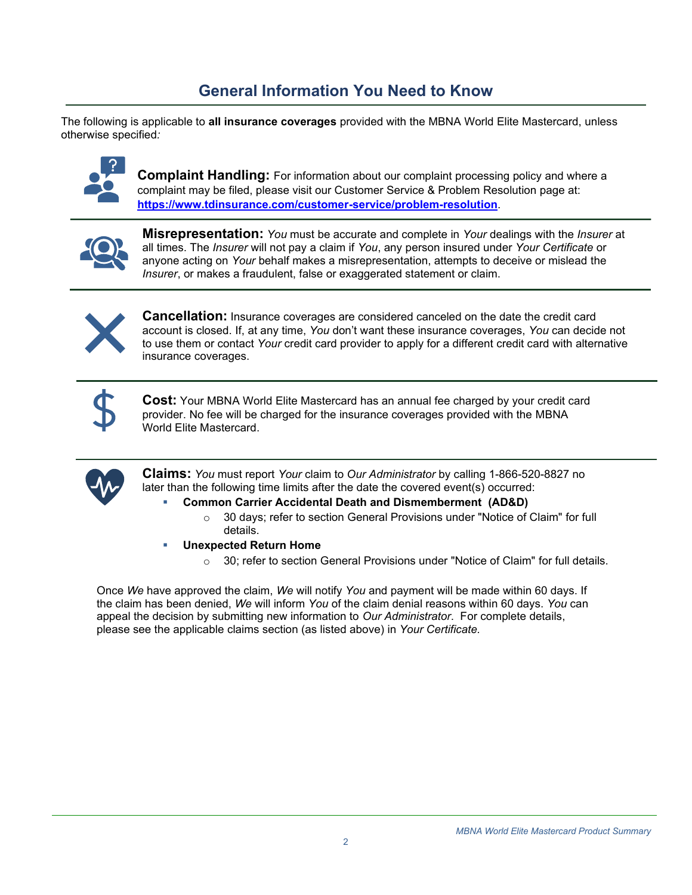# **General Information You Need to Know**

The following is applicable to **all insurance coverages** provided with the MBNA World Elite Mastercard, unless otherwise specified*:*



**Complaint Handling:** For information about our complaint processing policy and where a complaint may be filed, please visit our Customer Service & Problem Resolution page at: **<https://www.tdinsurance.com/customer-service/problem-resolution>**.



**Misrepresentation:** *You* must be accurate and complete in *Your* dealings with the *Insurer* at all times. The *Insurer* will not pay a claim if *You*, any person insured under *Your Certificate* or anyone acting on *Your* behalf makes a misrepresentation, attempts to deceive or mislead the *Insurer*, or makes a fraudulent, false or exaggerated statement or claim.



**Cancellation:** Insurance coverages are considered canceled on the date the credit card account is closed. If, at any time, *You* don't want these insurance coverages, *You* can decide not to use them or contact *Your* credit card provider to apply for a different credit card with alternative insurance coverages.



**Cost:** Your MBNA World Elite Mastercard has an annual fee charged by your credit card provider. No fee will be charged for the insurance coverages provided with the MBNA World Elite Mastercard.



**Claims:** *You* must report *Your* claim to *Our Administrator* by calling 1-866-520-8827 no later than the following time limits after the date the covered event(s) occurred:

#### **Common Carrier Accidental Death and Dismemberment (AD&D)**

- $\circ$  30 days; refer to section General Provisions under "Notice of Claim" for full details.
- **Unexpected Return Home**
	- $\circ$  30; refer to section General Provisions under "Notice of Claim" for full details.

Once *We* have approved the claim, *We* will notify *You* and payment will be made within 60 days. If the claim has been denied, *We* will inform *You* of the claim denial reasons within 60 days. *You* can appeal the decision by submitting new information to *Our Administrator*. For complete details, please see the applicable claims section (as listed above) in *Your Certificate.*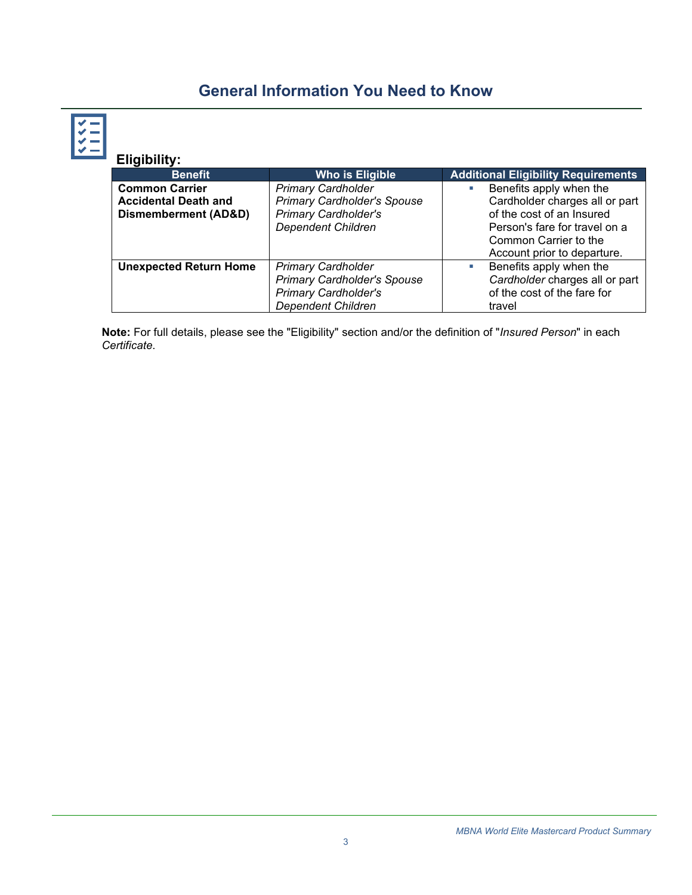# **General Information You Need to Know**

**Eligibility:**

| <b>Benefit</b>                  | <b>Who is Eligible</b>             | <b>Additional Eligibility Requirements</b> |
|---------------------------------|------------------------------------|--------------------------------------------|
| <b>Common Carrier</b>           | <b>Primary Cardholder</b>          | Benefits apply when the                    |
| <b>Accidental Death and</b>     | <b>Primary Cardholder's Spouse</b> | Cardholder charges all or part             |
| <b>Dismemberment (AD&amp;D)</b> | <b>Primary Cardholder's</b>        | of the cost of an Insured                  |
|                                 | <b>Dependent Children</b>          | Person's fare for travel on a              |
|                                 |                                    | Common Carrier to the                      |
|                                 |                                    | Account prior to departure.                |
| <b>Unexpected Return Home</b>   | <b>Primary Cardholder</b>          | Benefits apply when the<br>ш               |
|                                 | <b>Primary Cardholder's Spouse</b> | Cardholder charges all or part             |
|                                 | <b>Primary Cardholder's</b>        | of the cost of the fare for                |
|                                 | <b>Dependent Children</b>          | travel                                     |

**Note:** For full details, please see the "Eligibility" section and/or the definition of "*Insured Person*" in each *Certificate*.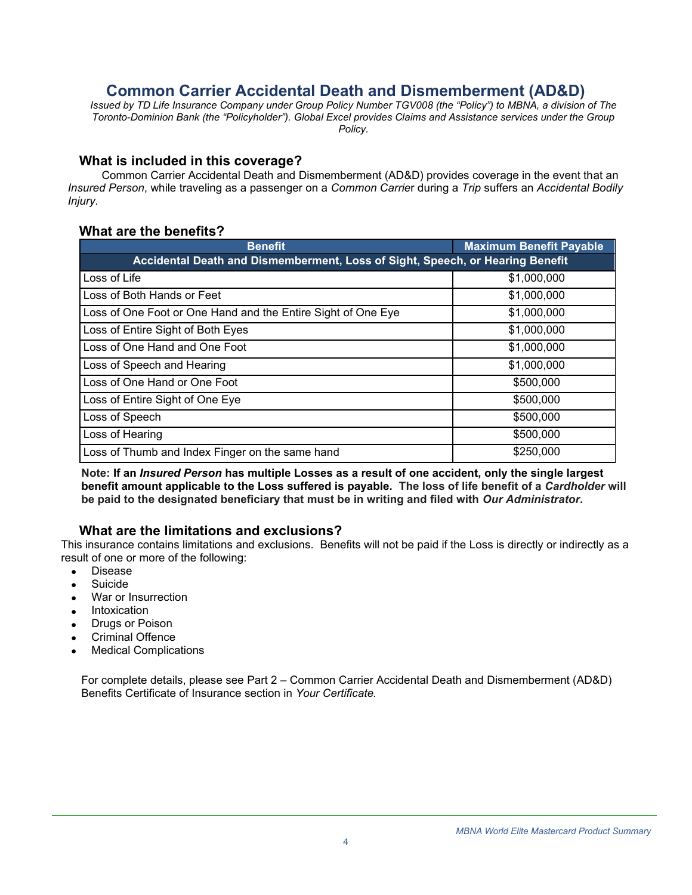## **Common Carrier Accidental Death and Dismemberment (AD&D)**

*Issued by TD Life Insurance Company under Group Policy Number TGV008 (the "Policy") to MBNA, a division of The Toronto-Dominion Bank (the "Policyholder"). Global Excel provides Claims and Assistance services under the Group Policy.*

#### **What is included in this coverage?**

Common Carrier Accidental Death and Dismemberment (AD&D) provides coverage in the event that an *Insured Person*, while traveling as a passenger on a *Common Carrie*r during a *Trip* suffers an *Accidental Bodily Injury.*

#### **What are the benefits?**

| <b>Benefit</b>                                                                | <b>Maximum Benefit Payable</b> |  |  |
|-------------------------------------------------------------------------------|--------------------------------|--|--|
| Accidental Death and Dismemberment, Loss of Sight, Speech, or Hearing Benefit |                                |  |  |
| Loss of Life                                                                  | \$1,000,000                    |  |  |
| Loss of Both Hands or Feet                                                    | \$1,000,000                    |  |  |
| Loss of One Foot or One Hand and the Entire Sight of One Eye                  | \$1,000,000                    |  |  |
| Loss of Entire Sight of Both Eyes                                             | \$1,000,000                    |  |  |
| Loss of One Hand and One Foot                                                 | \$1,000,000                    |  |  |
| Loss of Speech and Hearing                                                    | \$1,000,000                    |  |  |
| Loss of One Hand or One Foot                                                  | \$500,000                      |  |  |
| Loss of Entire Sight of One Eye                                               | \$500,000                      |  |  |
| Loss of Speech                                                                | \$500,000                      |  |  |
| Loss of Hearing                                                               | \$500,000                      |  |  |
| Loss of Thumb and Index Finger on the same hand                               | \$250,000                      |  |  |

**Note: If an** *Insured Person* **has multiple Losses as a result of one accident, only the single largest benefit amount applicable to the Loss suffered is payable. The loss of life benefit of a** *Cardholder* **will be paid to the designated beneficiary that must be in writing and filed with** *Our Administrator***.** 

#### **What are the limitations and exclusions?**

This insurance contains limitations and exclusions. Benefits will not be paid if the Loss is directly or indirectly as a result of one or more of the following:

- Disease
- **Suicide**
- War or Insurrection
- **Intoxication**
- Drugs or Poison
- Criminal Offence
- **Medical Complications**

For complete details, please see Part 2 – Common Carrier Accidental Death and Dismemberment (AD&D) Benefits Certificate of Insurance section in *Your Certificate.*